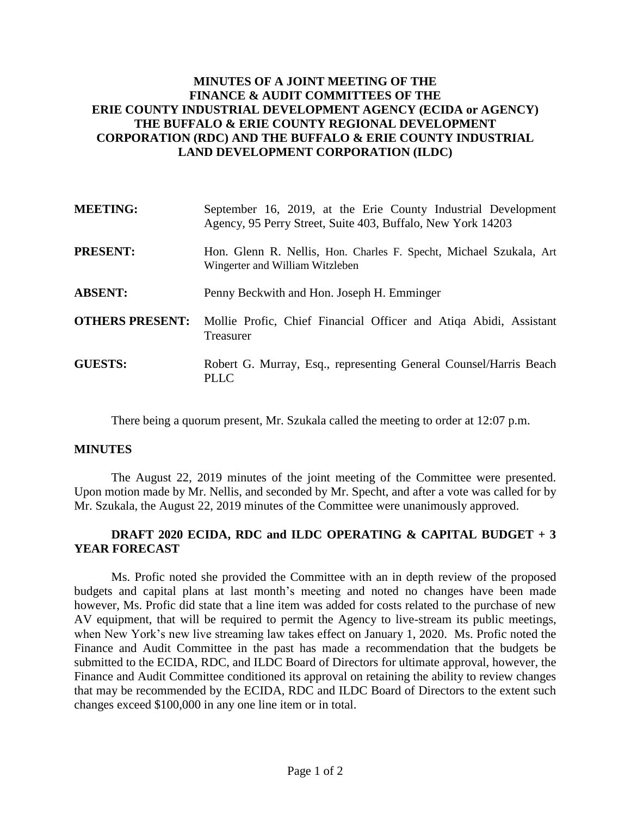# **MINUTES OF A JOINT MEETING OF THE FINANCE & AUDIT COMMITTEES OF THE ERIE COUNTY INDUSTRIAL DEVELOPMENT AGENCY (ECIDA or AGENCY) THE BUFFALO & ERIE COUNTY REGIONAL DEVELOPMENT CORPORATION (RDC) AND THE BUFFALO & ERIE COUNTY INDUSTRIAL LAND DEVELOPMENT CORPORATION (ILDC)**

| <b>MEETING:</b>        | September 16, 2019, at the Erie County Industrial Development<br>Agency, 95 Perry Street, Suite 403, Buffalo, New York 14203 |
|------------------------|------------------------------------------------------------------------------------------------------------------------------|
| <b>PRESENT:</b>        | Hon. Glenn R. Nellis, Hon. Charles F. Specht, Michael Szukala, Art<br>Wingerter and William Witzleben                        |
| <b>ABSENT:</b>         | Penny Beckwith and Hon. Joseph H. Emminger                                                                                   |
| <b>OTHERS PRESENT:</b> | Mollie Profic, Chief Financial Officer and Atiqa Abidi, Assistant<br>Treasurer                                               |
| <b>GUESTS:</b>         | Robert G. Murray, Esq., representing General Counsel/Harris Beach<br>PLLC                                                    |

There being a quorum present, Mr. Szukala called the meeting to order at 12:07 p.m.

## **MINUTES**

The August 22, 2019 minutes of the joint meeting of the Committee were presented. Upon motion made by Mr. Nellis, and seconded by Mr. Specht, and after a vote was called for by Mr. Szukala, the August 22, 2019 minutes of the Committee were unanimously approved.

## **DRAFT 2020 ECIDA, RDC and ILDC OPERATING & CAPITAL BUDGET + 3 YEAR FORECAST**

Ms. Profic noted she provided the Committee with an in depth review of the proposed budgets and capital plans at last month's meeting and noted no changes have been made however, Ms. Profic did state that a line item was added for costs related to the purchase of new AV equipment, that will be required to permit the Agency to live-stream its public meetings, when New York's new live streaming law takes effect on January 1, 2020. Ms. Profic noted the Finance and Audit Committee in the past has made a recommendation that the budgets be submitted to the ECIDA, RDC, and ILDC Board of Directors for ultimate approval, however, the Finance and Audit Committee conditioned its approval on retaining the ability to review changes that may be recommended by the ECIDA, RDC and ILDC Board of Directors to the extent such changes exceed \$100,000 in any one line item or in total.